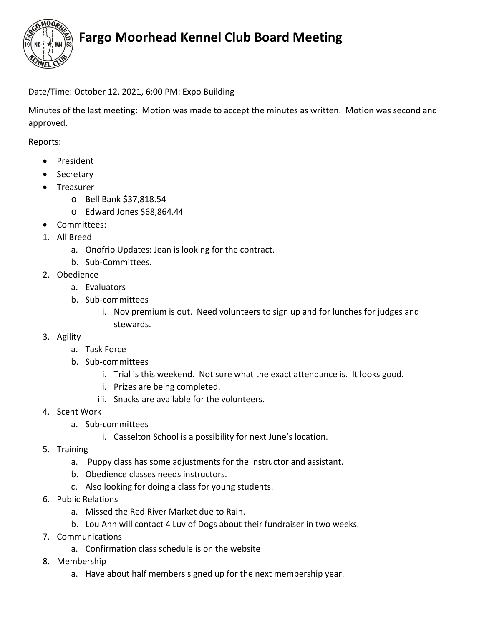

# **Fargo Moorhead Kennel Club Board Meeting**

### Date/Time: October 12, 2021, 6:00 PM: Expo Building

Minutes of the last meeting: Motion was made to accept the minutes as written. Motion was second and approved.

Reports:

- President
- Secretary
- Treasurer
	- o Bell Bank \$37,818.54
	- o Edward Jones \$68,864.44
- Committees:
- 1. All Breed
	- a. Onofrio Updates: Jean is looking for the contract.
	- b. Sub-Committees.
- 2. Obedience
	- a. Evaluators
	- b. Sub-committees
		- i. Nov premium is out. Need volunteers to sign up and for lunches for judges and stewards.
- 3. Agility
	- a. Task Force
	- b. Sub-committees
		- i. Trial is this weekend. Not sure what the exact attendance is. It looks good.
		- ii. Prizes are being completed.
		- iii. Snacks are available for the volunteers.
- 4. Scent Work
	- a. Sub-committees
		- i. Casselton School is a possibility for next June's location.
- 5. Training
	- a. Puppy class has some adjustments for the instructor and assistant.
	- b. Obedience classes needs instructors.
	- c. Also looking for doing a class for young students.
- 6. Public Relations
	- a. Missed the Red River Market due to Rain.
	- b. Lou Ann will contact 4 Luv of Dogs about their fundraiser in two weeks.
- 7. Communications
	- a. Confirmation class schedule is on the website
- 8. Membership
	- a. Have about half members signed up for the next membership year.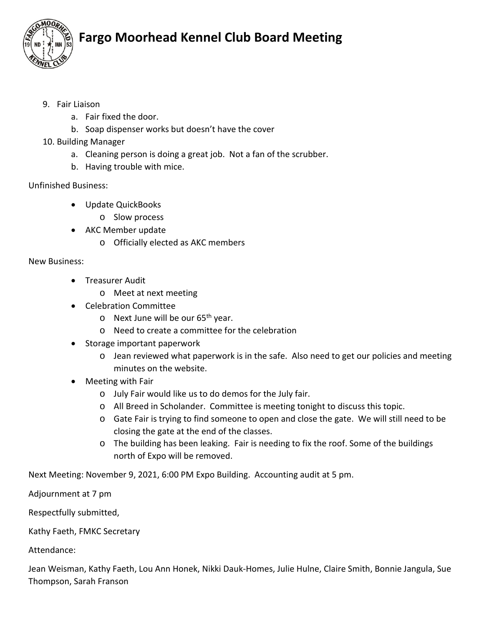

## **Fargo Moorhead Kennel Club Board Meeting**

- 9. Fair Liaison
	- a. Fair fixed the door.
	- b. Soap dispenser works but doesn't have the cover
- 10. Building Manager
	- a. Cleaning person is doing a great job. Not a fan of the scrubber.
	- b. Having trouble with mice.

## Unfinished Business:

- Update QuickBooks
	- o Slow process
- AKC Member update
	- o Officially elected as AKC members

#### New Business:

- Treasurer Audit
	- o Meet at next meeting
- Celebration Committee
	- o Next June will be our 65<sup>th</sup> year.
	- o Need to create a committee for the celebration
- Storage important paperwork
	- o Jean reviewed what paperwork is in the safe. Also need to get our policies and meeting minutes on the website.
- Meeting with Fair
	- o July Fair would like us to do demos for the July fair.
	- o All Breed in Scholander. Committee is meeting tonight to discuss this topic.
	- o Gate Fair is trying to find someone to open and close the gate. We will still need to be closing the gate at the end of the classes.
	- o The building has been leaking. Fair is needing to fix the roof. Some of the buildings north of Expo will be removed.

Next Meeting: November 9, 2021, 6:00 PM Expo Building. Accounting audit at 5 pm.

Adjournment at 7 pm

Respectfully submitted,

Kathy Faeth, FMKC Secretary

Attendance:

Jean Weisman, Kathy Faeth, Lou Ann Honek, Nikki Dauk-Homes, Julie Hulne, Claire Smith, Bonnie Jangula, Sue Thompson, Sarah Franson